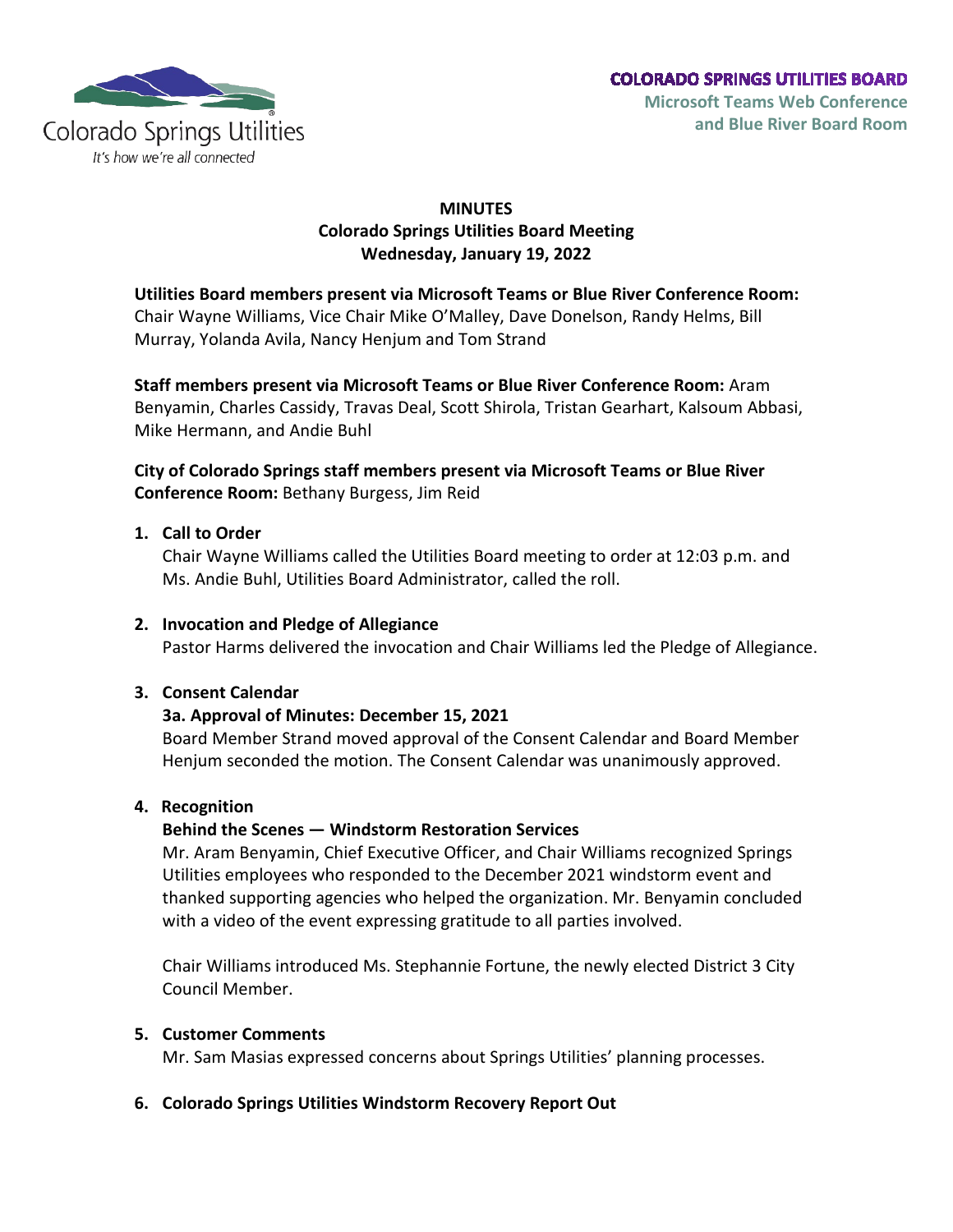

# **MINUTES Colorado Springs Utilities Board Meeting Wednesday, January 19, 2022**

**Utilities Board members present via Microsoft Teams or Blue River Conference Room:** Chair Wayne Williams, Vice Chair Mike O'Malley, Dave Donelson, Randy Helms, Bill Murray, Yolanda Avila, Nancy Henjum and Tom Strand

**Staff members present via Microsoft Teams or Blue River Conference Room:** Aram Benyamin, Charles Cassidy, Travas Deal, Scott Shirola, Tristan Gearhart, Kalsoum Abbasi, Mike Hermann, and Andie Buhl

# **City of Colorado Springs staff members present via Microsoft Teams or Blue River Conference Room:** Bethany Burgess, Jim Reid

# **1. Call to Order**

Chair Wayne Williams called the Utilities Board meeting to order at 12:03 p.m. and Ms. Andie Buhl, Utilities Board Administrator, called the roll.

### **2. Invocation and Pledge of Allegiance**

Pastor Harms delivered the invocation and Chair Williams led the Pledge of Allegiance.

# **3. Consent Calendar**

# **3a. Approval of Minutes: December 15, 2021**

Board Member Strand moved approval of the Consent Calendar and Board Member Henjum seconded the motion. The Consent Calendar was unanimously approved.

### **4. Recognition**

# **Behind the Scenes — Windstorm Restoration Services**

Mr. Aram Benyamin, Chief Executive Officer, and Chair Williams recognized Springs Utilities employees who responded to the December 2021 windstorm event and thanked supporting agencies who helped the organization. Mr. Benyamin concluded with a video of the event expressing gratitude to all parties involved.

Chair Williams introduced Ms. Stephannie Fortune, the newly elected District 3 City Council Member.

### **5. Customer Comments**

Mr. Sam Masias expressed concerns about Springs Utilities' planning processes.

# **6. Colorado Springs Utilities Windstorm Recovery Report Out**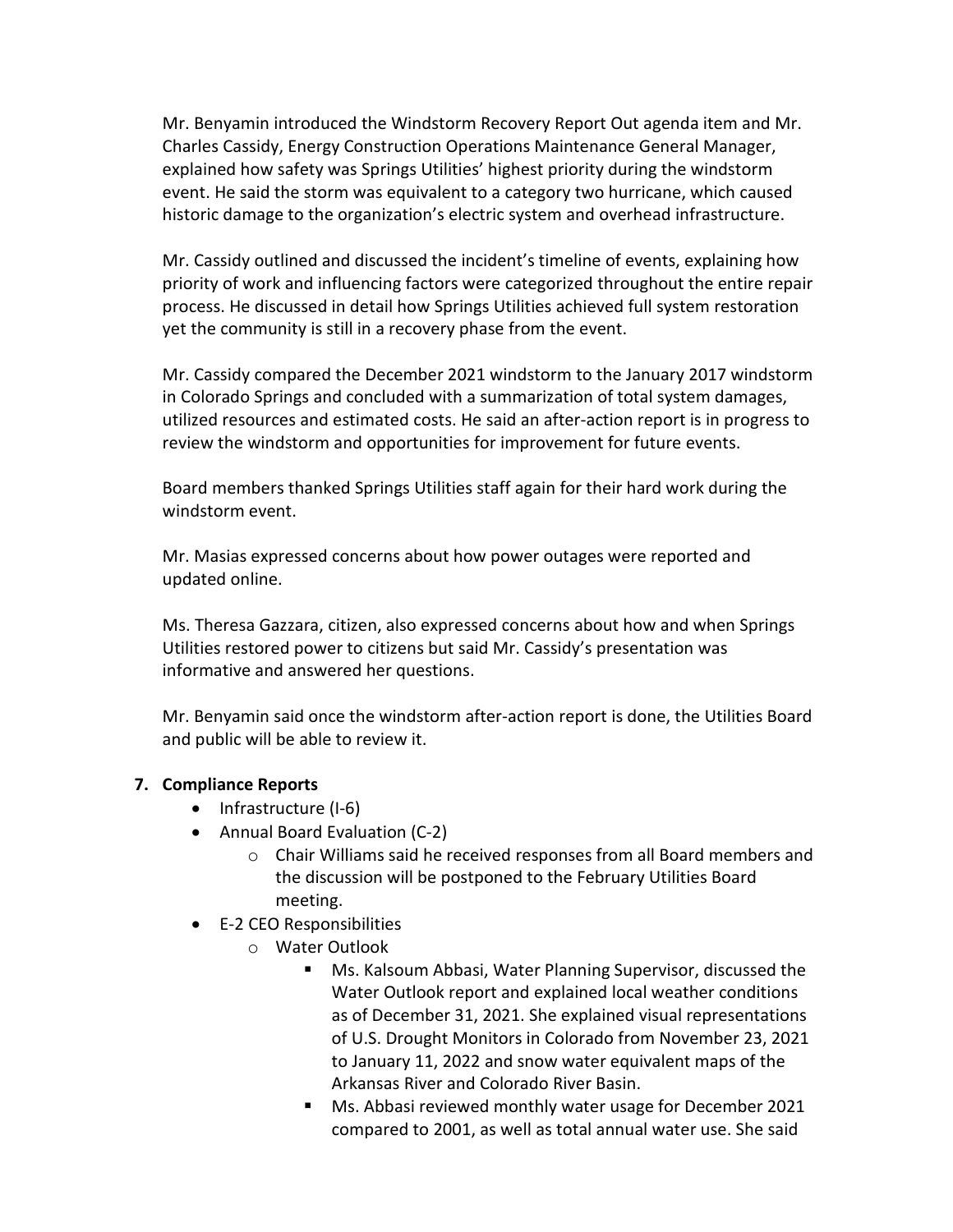Mr. Benyamin introduced the Windstorm Recovery Report Out agenda item and Mr. Charles Cassidy, Energy Construction Operations Maintenance General Manager, explained how safety was Springs Utilities' highest priority during the windstorm event. He said the storm was equivalent to a category two hurricane, which caused historic damage to the organization's electric system and overhead infrastructure.

Mr. Cassidy outlined and discussed the incident's timeline of events, explaining how priority of work and influencing factors were categorized throughout the entire repair process. He discussed in detail how Springs Utilities achieved full system restoration yet the community is still in a recovery phase from the event.

Mr. Cassidy compared the December 2021 windstorm to the January 2017 windstorm in Colorado Springs and concluded with a summarization of total system damages, utilized resources and estimated costs. He said an after-action report is in progress to review the windstorm and opportunities for improvement for future events.

Board members thanked Springs Utilities staff again for their hard work during the windstorm event.

Mr. Masias expressed concerns about how power outages were reported and updated online.

Ms. Theresa Gazzara, citizen, also expressed concerns about how and when Springs Utilities restored power to citizens but said Mr. Cassidy's presentation was informative and answered her questions.

Mr. Benyamin said once the windstorm after-action report is done, the Utilities Board and public will be able to review it.

### **7. Compliance Reports**

- Infrastructure (I-6)
- Annual Board Evaluation (C-2)
	- o Chair Williams said he received responses from all Board members and the discussion will be postponed to the February Utilities Board meeting.
- E-2 CEO Responsibilities
	- o Water Outlook
		- Ms. Kalsoum Abbasi, Water Planning Supervisor, discussed the Water Outlook report and explained local weather conditions as of December 31, 2021. She explained visual representations of U.S. Drought Monitors in Colorado from November 23, 2021 to January 11, 2022 and snow water equivalent maps of the Arkansas River and Colorado River Basin.
		- Ms. Abbasi reviewed monthly water usage for December 2021 compared to 2001, as well as total annual water use. She said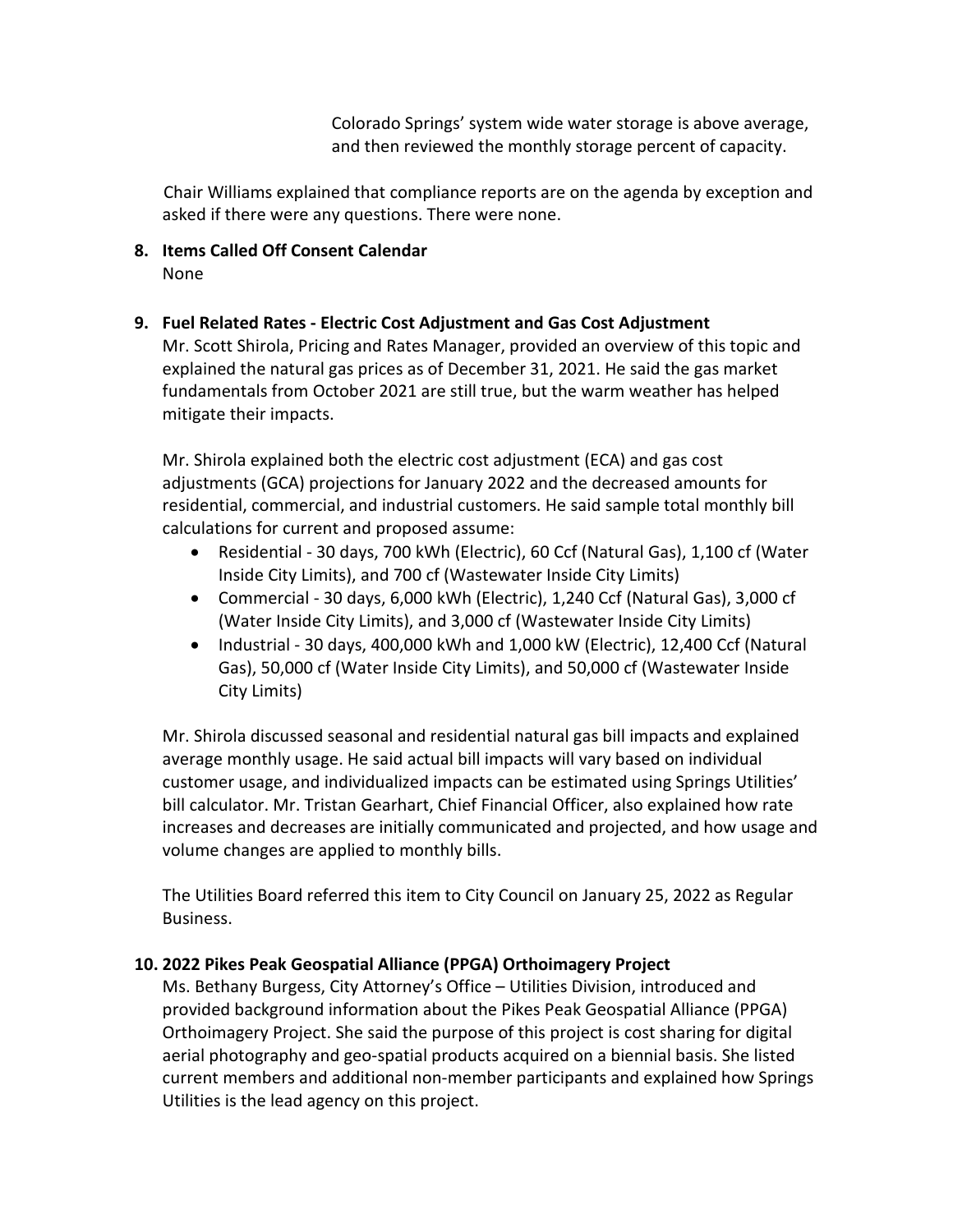Colorado Springs' system wide water storage is above average, and then reviewed the monthly storage percent of capacity.

Chair Williams explained that compliance reports are on the agenda by exception and asked if there were any questions. There were none.

**8. Items Called Off Consent Calendar** None

### **9. Fuel Related Rates - Electric Cost Adjustment and Gas Cost Adjustment**

Mr. Scott Shirola, Pricing and Rates Manager, provided an overview of this topic and explained the natural gas prices as of December 31, 2021. He said the gas market fundamentals from October 2021 are still true, but the warm weather has helped mitigate their impacts.

Mr. Shirola explained both the electric cost adjustment (ECA) and gas cost adjustments (GCA) projections for January 2022 and the decreased amounts for residential, commercial, and industrial customers. He said sample total monthly bill calculations for current and proposed assume:

- Residential 30 days, 700 kWh (Electric), 60 Ccf (Natural Gas), 1,100 cf (Water Inside City Limits), and 700 cf (Wastewater Inside City Limits)
- Commercial 30 days, 6,000 kWh (Electric), 1,240 Ccf (Natural Gas), 3,000 cf (Water Inside City Limits), and 3,000 cf (Wastewater Inside City Limits)
- Industrial 30 days, 400,000 kWh and 1,000 kW (Electric), 12,400 Ccf (Natural Gas), 50,000 cf (Water Inside City Limits), and 50,000 cf (Wastewater Inside City Limits)

Mr. Shirola discussed seasonal and residential natural gas bill impacts and explained average monthly usage. He said actual bill impacts will vary based on individual customer usage, and individualized impacts can be estimated using Springs Utilities' bill calculator. Mr. Tristan Gearhart, Chief Financial Officer, also explained how rate increases and decreases are initially communicated and projected, and how usage and volume changes are applied to monthly bills.

The Utilities Board referred this item to City Council on January 25, 2022 as Regular Business.

### **10. 2022 Pikes Peak Geospatial Alliance (PPGA) Orthoimagery Project**

Ms. Bethany Burgess, City Attorney's Office – Utilities Division, introduced and provided background information about the Pikes Peak Geospatial Alliance (PPGA) Orthoimagery Project. She said the purpose of this project is cost sharing for digital aerial photography and geo-spatial products acquired on a biennial basis. She listed current members and additional non-member participants and explained how Springs Utilities is the lead agency on this project.